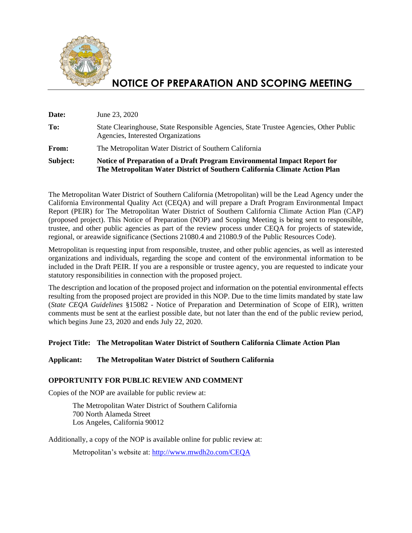

# **NOTICE OF PREPARATION AND SCOPING MEETING**

| Subject: | Notice of Preparation of a Draft Program Environmental Impact Report for<br>The Metropolitan Water District of Southern California Climate Action Plan |
|----------|--------------------------------------------------------------------------------------------------------------------------------------------------------|
| From:    | The Metropolitan Water District of Southern California                                                                                                 |
| To:      | State Clearinghouse, State Responsible Agencies, State Trustee Agencies, Other Public<br>Agencies, Interested Organizations                            |
| Date:    | June 23, 2020                                                                                                                                          |

The Metropolitan Water District of Southern California (Metropolitan) will be the Lead Agency under the California Environmental Quality Act (CEQA) and will prepare a Draft Program Environmental Impact Report (PEIR) for The Metropolitan Water District of Southern California Climate Action Plan (CAP) (proposed project). This Notice of Preparation (NOP) and Scoping Meeting is being sent to responsible, trustee, and other public agencies as part of the review process under CEQA for projects of statewide, regional, or areawide significance (Sections 21080.4 and 21080.9 of the Public Resources Code).

Metropolitan is requesting input from responsible, trustee, and other public agencies, as well as interested organizations and individuals, regarding the scope and content of the environmental information to be included in the Draft PEIR. If you are a responsible or trustee agency, you are requested to indicate your statutory responsibilities in connection with the proposed project.

The description and location of the proposed project and information on the potential environmental effects resulting from the proposed project are provided in this NOP. Due to the time limits mandated by state law (*State CEQA Guidelines* §15082 - Notice of Preparation and Determination of Scope of EIR), written comments must be sent at the earliest possible date, but not later than the end of the public review period, which begins June 23, 2020 and ends July 22, 2020.

#### **Project Title: The Metropolitan Water District of Southern California Climate Action Plan**

#### **Applicant: The Metropolitan Water District of Southern California**

#### **OPPORTUNITY FOR PUBLIC REVIEW AND COMMENT**

Copies of the NOP are available for public review at:

The Metropolitan Water District of Southern California 700 North Alameda Street Los Angeles, California 90012

Additionally, a copy of the NOP is available online for public review at:

Metropolitan's website at:<http://www.mwdh2o.com/CEQA>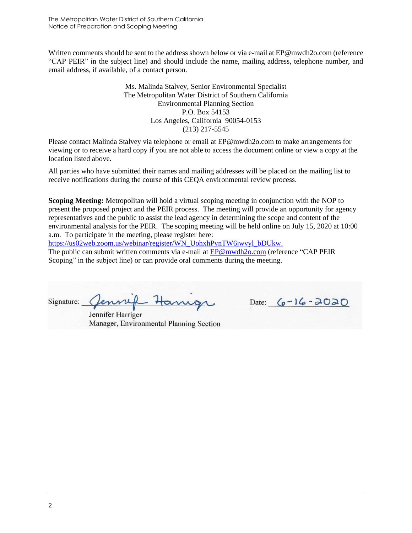The Metropolitan Water District of Southern California Notice of Preparation and Scoping Meeting

Written comments should be sent to the address shown below or via e-mail at EP@mwdh2o.com (reference "CAP PEIR" in the subject line) and should include the name, mailing address, telephone number, and email address, if available, of a contact person.

> Ms. Malinda Stalvey, Senior Environmental Specialist The Metropolitan Water District of Southern California Environmental Planning Section P.O. Box 54153 Los Angeles, California 90054-0153 (213) 217-5545

Please contact Malinda Stalvey via telephone or email at EP@mwdh2o.com to make arrangements for viewing or to receive a hard copy if you are not able to access the document online or view a copy at the location listed above.

All parties who have submitted their names and mailing addresses will be placed on the mailing list to receive notifications during the course of this CEQA environmental review process.

**Scoping Meeting:** Metropolitan will hold a virtual scoping meeting in conjunction with the NOP to present the proposed project and the PEIR process. The meeting will provide an opportunity for agency representatives and the public to assist the lead agency in determining the scope and content of the environmental analysis for the PEIR. The scoping meeting will be held online on July 15, 2020 at 10:00 a.m. To participate in the meeting, please register here:

[https://us02web.zoom.us/webinar/register/WN\\_UohxhPynTW6jwvyl\\_bDUkw.](https://us02web.zoom.us/webinar/register/WN_UohxhPynTW6jwvyl_bDUkw) The public can submit written comments via e-mail at [EP@mwdh2o.com](mailto:EP@mwdh2o.com) (reference "CAP PEIR Scoping" in the subject line) or can provide oral comments during the meeting.

Signature:

Jennifer Harriger Manager, Environmental Planning Section

Date:  $6 - 16 - 2020$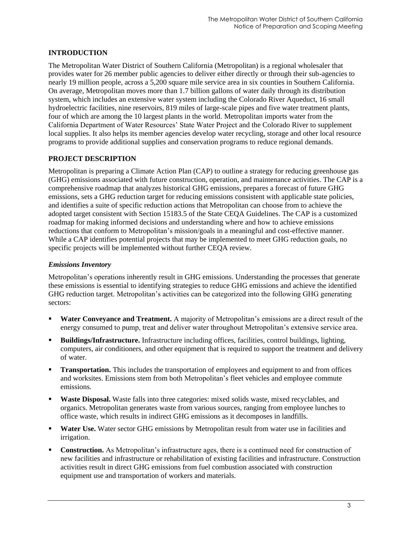## **INTRODUCTION**

The Metropolitan Water District of Southern California (Metropolitan) is a regional wholesaler that provides water for 26 member public agencies to deliver either directly or through their sub-agencies to nearly 19 million people, across a 5,200 square mile service area in six counties in Southern California. On average, Metropolitan moves more than 1.7 billion gallons of water daily through its distribution system, which includes an extensive water system including the Colorado River Aqueduct, 16 small hydroelectric facilities, nine reservoirs, 819 miles of large-scale pipes and five water treatment plants, four of which are among the 10 largest plants in the world. Metropolitan imports water from the California Department of Water Resources' State Water Project and the Colorado River to supplement local supplies. It also helps its member agencies develop water recycling, storage and other local resource programs to provide additional supplies and conservation programs to reduce regional demands.

### **PROJECT DESCRIPTION**

Metropolitan is preparing a Climate Action Plan (CAP) to outline a strategy for reducing greenhouse gas (GHG) emissions associated with future construction, operation, and maintenance activities. The CAP is a comprehensive roadmap that analyzes historical GHG emissions, prepares a forecast of future GHG emissions, sets a GHG reduction target for reducing emissions consistent with applicable state policies, and identifies a suite of specific reduction actions that Metropolitan can choose from to achieve the adopted target consistent with Section 15183.5 of the State CEQA Guidelines. The CAP is a customized roadmap for making informed decisions and understanding where and how to achieve emissions reductions that conform to Metropolitan's mission/goals in a meaningful and cost-effective manner. While a CAP identifies potential projects that may be implemented to meet GHG reduction goals, no specific projects will be implemented without further CEQA review.

### *Emissions Inventory*

Metropolitan's operations inherently result in GHG emissions. Understanding the processes that generate these emissions is essential to identifying strategies to reduce GHG emissions and achieve the identified GHG reduction target. Metropolitan's activities can be categorized into the following GHG generating sectors:

- **Water Conveyance and Treatment.** A majority of Metropolitan's emissions are a direct result of the energy consumed to pump, treat and deliver water throughout Metropolitan's extensive service area.
- **Buildings/Infrastructure.** Infrastructure including offices, facilities, control buildings, lighting, computers, air conditioners, and other equipment that is required to support the treatment and delivery of water.
- **Transportation.** This includes the transportation of employees and equipment to and from offices and worksites. Emissions stem from both Metropolitan's fleet vehicles and employee commute emissions.
- **Waste Disposal.** Waste falls into three categories: mixed solids waste, mixed recyclables, and organics. Metropolitan generates waste from various sources, ranging from employee lunches to office waste, which results in indirect GHG emissions as it decomposes in landfills.
- **Water Use.** Water sector GHG emissions by Metropolitan result from water use in facilities and irrigation.
- **Construction.** As Metropolitan's infrastructure ages, there is a continued need for construction of new facilities and infrastructure or rehabilitation of existing facilities and infrastructure. Construction activities result in direct GHG emissions from fuel combustion associated with construction equipment use and transportation of workers and materials.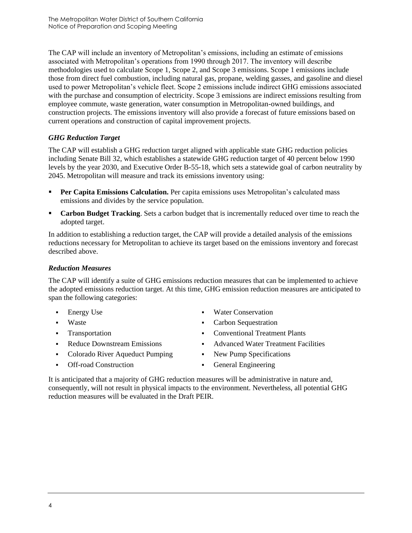The CAP will include an inventory of Metropolitan's emissions, including an estimate of emissions associated with Metropolitan's operations from 1990 through 2017. The inventory will describe methodologies used to calculate Scope 1, Scope 2, and Scope 3 emissions. Scope 1 emissions include those from direct fuel combustion, including natural gas, propane, welding gasses, and gasoline and diesel used to power Metropolitan's vehicle fleet. Scope 2 emissions include indirect GHG emissions associated with the purchase and consumption of electricity. Scope 3 emissions are indirect emissions resulting from employee commute, waste generation, water consumption in Metropolitan-owned buildings, and construction projects. The emissions inventory will also provide a forecast of future emissions based on current operations and construction of capital improvement projects.

# *GHG Reduction Target*

The CAP will establish a GHG reduction target aligned with applicable state GHG reduction policies including Senate Bill 32, which establishes a statewide GHG reduction target of 40 percent below 1990 levels by the year 2030, and Executive Order B-55-18, which sets a statewide goal of carbon neutrality by 2045. Metropolitan will measure and track its emissions inventory using:

- **Per Capita Emissions Calculation.** Per capita emissions uses Metropolitan's calculated mass emissions and divides by the service population.
- **Carbon Budget Tracking**. Sets a carbon budget that is incrementally reduced over time to reach the adopted target.

In addition to establishing a reduction target, the CAP will provide a detailed analysis of the emissions reductions necessary for Metropolitan to achieve its target based on the emissions inventory and forecast described above.

# *Reduction Measures*

The CAP will identify a suite of GHG emissions reduction measures that can be implemented to achieve the adopted emissions reduction target. At this time, GHG emission reduction measures are anticipated to span the following categories:

- **Energy Use**
- Waste
- **Transportation**
- Reduce Downstream Emissions
- Colorado River Aqueduct Pumping
- Off-road Construction
- Water Conservation
- Carbon Sequestration
- Conventional Treatment Plants
- Advanced Water Treatment Facilities
- New Pump Specifications
- General Engineering

It is anticipated that a majority of GHG reduction measures will be administrative in nature and, consequently, will not result in physical impacts to the environment. Nevertheless, all potential GHG reduction measures will be evaluated in the Draft PEIR.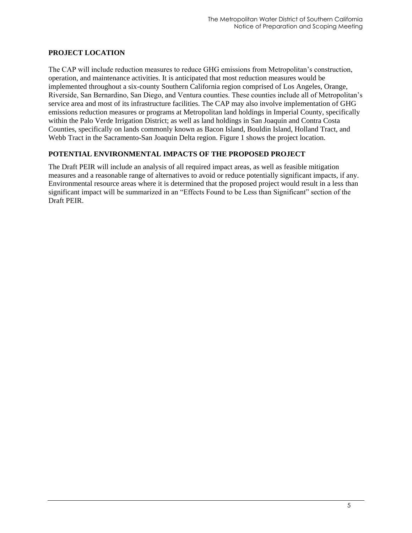### **PROJECT LOCATION**

The CAP will include reduction measures to reduce GHG emissions from Metropolitan's construction, operation, and maintenance activities. It is anticipated that most reduction measures would be implemented throughout a six-county Southern California region comprised of Los Angeles, Orange, Riverside, San Bernardino, San Diego, and Ventura counties. These counties include all of Metropolitan's service area and most of its infrastructure facilities. The CAP may also involve implementation of GHG emissions reduction measures or programs at Metropolitan land holdings in Imperial County, specifically within the Palo Verde Irrigation District; as well as land holdings in San Joaquin and Contra Costa Counties, specifically on lands commonly known as Bacon Island, Bouldin Island, Holland Tract, and Webb Tract in the Sacramento-San Joaquin Delta region. Figure 1 shows the project location.

## **POTENTIAL ENVIRONMENTAL IMPACTS OF THE PROPOSED PROJECT**

The Draft PEIR will include an analysis of all required impact areas, as well as feasible mitigation measures and a reasonable range of alternatives to avoid or reduce potentially significant impacts, if any. Environmental resource areas where it is determined that the proposed project would result in a less than significant impact will be summarized in an "Effects Found to be Less than Significant" section of the Draft PEIR.